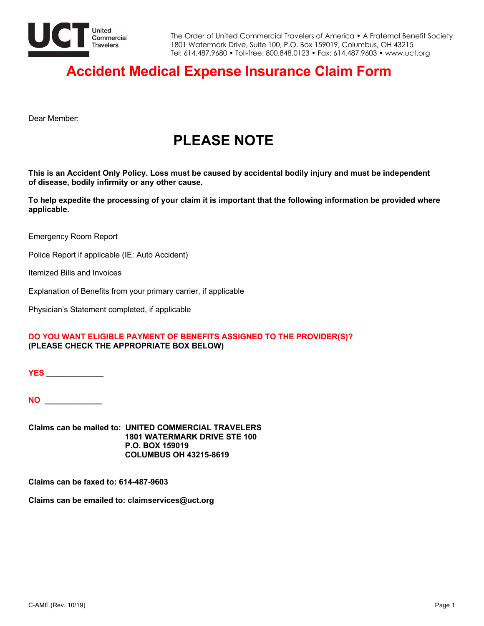

### **Accident Medical Expense Insurance Claim Form**

Dear Member:

# **PLEASE NOTE**

**This is an Accident Only Policy. Loss must be caused by accidental bodily injury and must be independent of disease, bodily infirmity or any other cause.**

**To help expedite the processing of your claim it is important that the following information be provided where applicable.** 

Emergency Room Report

Police Report if applicable (IE: Auto Accident)

Itemized Bills and Invoices

Explanation of Benefits from your primary carrier, if applicable

Physician's Statement completed, if applicable

### **DO YOU WANT ELIGIBLE PAYMENT OF BENEFITS ASSIGNED TO THE PROVIDER(S)? (PLEASE CHECK THE APPROPRIATE BOX BELOW)**

**YES \_\_\_\_\_\_\_\_\_\_\_\_\_**

**NO \_\_\_\_\_\_\_\_\_\_\_\_\_**

**Claims can be mailed to: UNITED COMMERCIAL TRAVELERS 1801 WATERMARK DRIVE STE 100 P.O. BOX 159019 COLUMBUS OH 43215-8619**

**Claims can be faxed to: 614-487-9603**

**Claims can be emailed to: claimservices@uct.org**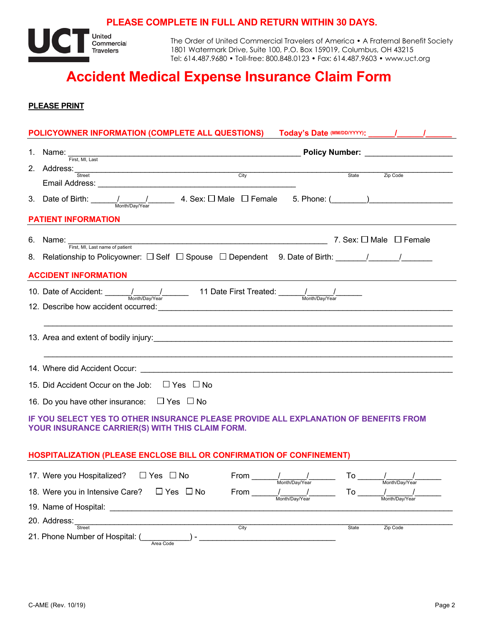### **PLEASE COMPLETE IN FULL AND RETURN WITHIN 30 DAYS.**



The Order of United Commercial Travelers of America • A Fraternal Benefit Society 1801 Watermark Drive, Suite 100, P.O. Box 159019, Columbus, OH 43215 Tel: 614.487.9680 • Toll-free: 800.848.0123 • Fax: 614.487.9603 • www.uct.org

# **Accident Medical Expense Insurance Claim Form**

**PLEASE PRINT**

| POLICYOWNER INFORMATION (COMPLETE ALL QUESTIONS) Today's Date (MM/DD/YYYY): _____/_____/___________                                                                                                                                                                      |                                                                                                                                                                                |                          |  |  |  |  |  |
|--------------------------------------------------------------------------------------------------------------------------------------------------------------------------------------------------------------------------------------------------------------------------|--------------------------------------------------------------------------------------------------------------------------------------------------------------------------------|--------------------------|--|--|--|--|--|
|                                                                                                                                                                                                                                                                          | 1. Name: $\frac{1}{\text{First, MI. Last}}$                                                                                                                                    |                          |  |  |  |  |  |
|                                                                                                                                                                                                                                                                          | 2. Address: Street Street City City State Zip Code                                                                                                                             |                          |  |  |  |  |  |
|                                                                                                                                                                                                                                                                          |                                                                                                                                                                                |                          |  |  |  |  |  |
|                                                                                                                                                                                                                                                                          | 3. Date of Birth: $\frac{1}{\frac{M\text{onth/DayVec}}{M\text{onth/DayVec}}}$ 4. Sex: $\Box$ Male $\Box$ Female 5. Phone: $(\_\_)$                                             |                          |  |  |  |  |  |
| <b>PATIENT INFORMATION</b>                                                                                                                                                                                                                                               |                                                                                                                                                                                |                          |  |  |  |  |  |
|                                                                                                                                                                                                                                                                          | 6. Name: $\frac{1}{\text{First, MI. Last name of patient}}$ 7. Sex: $\Box$ Male $\Box$ Female                                                                                  |                          |  |  |  |  |  |
|                                                                                                                                                                                                                                                                          |                                                                                                                                                                                |                          |  |  |  |  |  |
|                                                                                                                                                                                                                                                                          | <b>ACCIDENT INFORMATION</b><br><u>and the state of the state of the state of the state of the state of the state of the state of the state of th</u>                           |                          |  |  |  |  |  |
|                                                                                                                                                                                                                                                                          | 10. Date of Accident: $\frac{1}{\frac{M \text{onth}/D\text{av/Year}}{M \text{onth}/D\text{av/Year}}}$ 11 Date First Treated: $\frac{1}{\frac{M \text{onth}}{D\text{av/Year}}}$ |                          |  |  |  |  |  |
|                                                                                                                                                                                                                                                                          |                                                                                                                                                                                |                          |  |  |  |  |  |
|                                                                                                                                                                                                                                                                          |                                                                                                                                                                                |                          |  |  |  |  |  |
|                                                                                                                                                                                                                                                                          |                                                                                                                                                                                |                          |  |  |  |  |  |
|                                                                                                                                                                                                                                                                          |                                                                                                                                                                                |                          |  |  |  |  |  |
|                                                                                                                                                                                                                                                                          | 15. Did Accident Occur on the Job: $\Box$ Yes $\Box$ No                                                                                                                        |                          |  |  |  |  |  |
| 16. Do you have other insurance: $\Box$ Yes $\Box$ No                                                                                                                                                                                                                    |                                                                                                                                                                                |                          |  |  |  |  |  |
| IF YOU SELECT YES TO OTHER INSURANCE PLEASE PROVIDE ALL EXPLANATION OF BENEFITS FROM<br>YOUR INSURANCE CARRIER(S) WITH THIS CLAIM FORM.                                                                                                                                  |                                                                                                                                                                                |                          |  |  |  |  |  |
| HOSPITALIZATION (PLEASE ENCLOSE BILL OR CONFIRMATION OF CONFINEMENT)                                                                                                                                                                                                     |                                                                                                                                                                                |                          |  |  |  |  |  |
|                                                                                                                                                                                                                                                                          | 17. Were you Hospitalized? $\Box$ Yes $\Box$ No<br>From $\frac{1}{\text{Month/Day/Year}}$ To $\frac{1}{\text{Month/Day/Year}}$                                                 |                          |  |  |  |  |  |
|                                                                                                                                                                                                                                                                          | 18. Were you in Intensive Care? $\Box$ Yes $\Box$ No<br>From                                                                                                                   | To                       |  |  |  |  |  |
| Month/Day/Year<br>Month/Day/Year<br>19. Name of Hospital: <u>contract and the set of the set of the set of the set of the set of the set of the set of the set of the set of the set of the set of the set of the set of the set of the set of the set of the set of</u> |                                                                                                                                                                                |                          |  |  |  |  |  |
|                                                                                                                                                                                                                                                                          | 20. Address:                                                                                                                                                                   |                          |  |  |  |  |  |
|                                                                                                                                                                                                                                                                          | $\overline{\text{Citv}}$<br>Street<br>21. Phone Number of Hospital: (<br>Area Code                                                                                             | <b>State</b><br>Zip Code |  |  |  |  |  |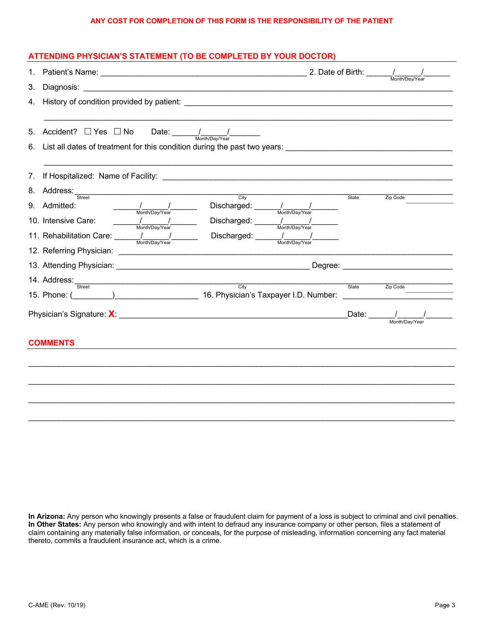#### **ANY COST FOR COMPLETION OF THIS FORM IS THE RESPONSIBILITY OF THE PATIENT**

### **ATTENDING PHYSICIAN'S STATEMENT (TO BE COMPLETED BY YOUR DOCTOR)**

| 1.                             |                                                                                                                                                                                                                        |                                                                                                                                                                                                                                                                                                                                                                                                                                                                                              | 2. Date of Birth: $\frac{1}{\frac{M_{\text{other}}}{M_{\text{other}}}}$ |                                                                                                                                                                                                                                                                                                                                                                                        |
|--------------------------------|------------------------------------------------------------------------------------------------------------------------------------------------------------------------------------------------------------------------|----------------------------------------------------------------------------------------------------------------------------------------------------------------------------------------------------------------------------------------------------------------------------------------------------------------------------------------------------------------------------------------------------------------------------------------------------------------------------------------------|-------------------------------------------------------------------------|----------------------------------------------------------------------------------------------------------------------------------------------------------------------------------------------------------------------------------------------------------------------------------------------------------------------------------------------------------------------------------------|
| 3.                             |                                                                                                                                                                                                                        |                                                                                                                                                                                                                                                                                                                                                                                                                                                                                              |                                                                         |                                                                                                                                                                                                                                                                                                                                                                                        |
| 4.                             |                                                                                                                                                                                                                        | History of condition provided by patient: National Conditional Conditional Conditional Condition of Condition                                                                                                                                                                                                                                                                                                                                                                                |                                                                         |                                                                                                                                                                                                                                                                                                                                                                                        |
|                                | 5. Accident? $\Box$ Yes $\Box$ No Date: $\frac{1}{\frac{M_{\text{on}} + N_{\text{on}}}{M_{\text{on}} + N_{\text{on}}}}$                                                                                                |                                                                                                                                                                                                                                                                                                                                                                                                                                                                                              |                                                                         |                                                                                                                                                                                                                                                                                                                                                                                        |
| $7_{\scriptscriptstyle{\sim}}$ |                                                                                                                                                                                                                        |                                                                                                                                                                                                                                                                                                                                                                                                                                                                                              |                                                                         |                                                                                                                                                                                                                                                                                                                                                                                        |
|                                | 8. Address: Street City<br>$\frac{1}{\text{Month/Day/Year}}$<br>9. Admitted:<br>10. Intensive Care:<br>$\frac{1}{\frac{1}{\text{Month/Day/Year}}}$<br>11. Rehabilitation Care: 1 Month/Day/Year<br>14. Address: Street | Discharged: // Month/Day/Year<br>Discharged: $\frac{1}{\sqrt{1-\frac{1}{2}}}\frac{1}{\sqrt{1-\frac{1}{2}}}\frac{1}{\sqrt{1-\frac{1}{2}}}\frac{1}{\sqrt{1-\frac{1}{2}}}\frac{1}{\sqrt{1-\frac{1}{2}}}\frac{1}{\sqrt{1-\frac{1}{2}}}\frac{1}{\sqrt{1-\frac{1}{2}}}\frac{1}{\sqrt{1-\frac{1}{2}}}\frac{1}{\sqrt{1-\frac{1}{2}}}\frac{1}{\sqrt{1-\frac{1}{2}}}\frac{1}{\sqrt{1-\frac{1}{2}}}\frac{1}{\sqrt{1-\frac{1}{2}}}\frac{1}{\sqrt{1-\frac{1}{2}}$<br>Month/Day/Year<br>$\overline{C}$ ity | State<br>State                                                          | Zip Code<br>Zip Code                                                                                                                                                                                                                                                                                                                                                                   |
|                                |                                                                                                                                                                                                                        |                                                                                                                                                                                                                                                                                                                                                                                                                                                                                              |                                                                         | $\frac{5}{2}$ Date: $\frac{1}{\frac{1}{2} \frac{1}{2} \frac{1}{2} \frac{1}{2} \frac{1}{2} \frac{1}{2} \frac{1}{2} \frac{1}{2} \frac{1}{2} \frac{1}{2} \frac{1}{2} \frac{1}{2} \frac{1}{2} \frac{1}{2} \frac{1}{2} \frac{1}{2} \frac{1}{2} \frac{1}{2} \frac{1}{2} \frac{1}{2} \frac{1}{2} \frac{1}{2} \frac{1}{2} \frac{1}{2} \frac{1}{2} \frac{1}{2} \frac{1}{2} \frac{1}{2} \frac{1$ |
|                                | <b>COMMENTS</b>                                                                                                                                                                                                        |                                                                                                                                                                                                                                                                                                                                                                                                                                                                                              |                                                                         |                                                                                                                                                                                                                                                                                                                                                                                        |
|                                |                                                                                                                                                                                                                        |                                                                                                                                                                                                                                                                                                                                                                                                                                                                                              |                                                                         |                                                                                                                                                                                                                                                                                                                                                                                        |

**In Arizona:** Any person who knowingly presents a false or fraudulent claim for payment of a loss is subject to criminal and civil penalties. **In Other States:** Any person who knowingly and with intent to defraud any insurance company or other person, files a statement of claim containing any materially false information, or conceals, for the purpose of misleading, information concerning any fact material thereto, commits a fraudulent insurance act, which is a crime.

\_\_\_\_\_\_\_\_\_\_\_\_\_\_\_\_\_\_\_\_\_\_\_\_\_\_\_\_\_\_\_\_\_\_\_\_\_\_\_\_\_\_\_\_\_\_\_\_\_\_\_\_\_\_\_\_\_\_\_\_\_\_\_\_\_\_\_\_\_\_\_\_\_\_\_\_\_\_\_\_\_\_\_\_\_\_\_\_\_\_\_\_\_\_\_\_\_